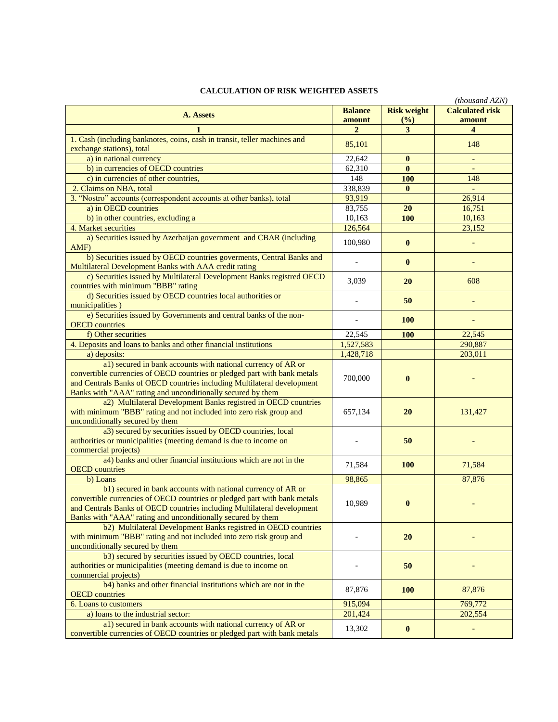## **CALCULATION OF RISK WEIGHTED ASSETS**

| Accentive of Kisk Weighted Assets<br>(thousand AZN)                                                                                                                                                                                                                                 |                |                    |                        |  |
|-------------------------------------------------------------------------------------------------------------------------------------------------------------------------------------------------------------------------------------------------------------------------------------|----------------|--------------------|------------------------|--|
| A. Assets                                                                                                                                                                                                                                                                           | <b>Balance</b> | <b>Risk weight</b> | <b>Calculated risk</b> |  |
|                                                                                                                                                                                                                                                                                     | amount         | (%)                | amount                 |  |
|                                                                                                                                                                                                                                                                                     | $\overline{2}$ | 3                  | 4                      |  |
| 1. Cash (including banknotes, coins, cash in transit, teller machines and<br>exchange stations), total                                                                                                                                                                              | 85,101         |                    | 148                    |  |
| a) in national currency                                                                                                                                                                                                                                                             | 22,642         | $\bf{0}$           |                        |  |
| b) in currencies of OECD countries                                                                                                                                                                                                                                                  | 62,310         | $\mathbf{0}$       |                        |  |
| c) in currencies of other countries,                                                                                                                                                                                                                                                | 148            | 100                | 148                    |  |
| 2. Claims on NBA, total                                                                                                                                                                                                                                                             | 338,839        | $\bf{0}$           |                        |  |
| 3. "Nostro" accounts (correspondent accounts at other banks), total                                                                                                                                                                                                                 | 93,919         |                    | 26,914                 |  |
| a) in OECD countries                                                                                                                                                                                                                                                                | 83,755         | 20                 | 16,751                 |  |
| b) in other countries, excluding a                                                                                                                                                                                                                                                  | 10,163         | 100                | 10,163                 |  |
| 4. Market securities                                                                                                                                                                                                                                                                | 126,564        |                    | 23,152                 |  |
| a) Securities issued by Azerbaijan government and CBAR (including                                                                                                                                                                                                                   | 100,980        | $\bf{0}$           |                        |  |
| AMF)<br>b) Securities issued by OECD countries governents, Central Banks and<br>Multilateral Development Banks with AAA credit rating                                                                                                                                               |                | $\bf{0}$           |                        |  |
| c) Securities issued by Multilateral Development Banks registred OECD<br>countries with minimum "BBB" rating                                                                                                                                                                        | 3,039          | <b>20</b>          | 608                    |  |
| d) Securities issued by OECD countries local authorities or<br>municipalities)                                                                                                                                                                                                      |                | 50                 |                        |  |
| e) Securities issued by Governments and central banks of the non-<br><b>OECD</b> countries                                                                                                                                                                                          |                | <b>100</b>         |                        |  |
| f) Other securities                                                                                                                                                                                                                                                                 | 22,545         | <b>100</b>         | 22,545                 |  |
| 4. Deposits and loans to banks and other financial institutions                                                                                                                                                                                                                     | 1,527,583      |                    | 290,887                |  |
| a) deposits:                                                                                                                                                                                                                                                                        | 1,428,718      |                    | 203,011                |  |
| a1) secured in bank accounts with national currency of AR or<br>convertible currencies of OECD countries or pledged part with bank metals<br>and Centrals Banks of OECD countries including Multilateral development<br>Banks with "AAA" rating and unconditionally secured by them | 700,000        | $\mathbf{0}$       |                        |  |
| a2) Multilateral Development Banks registred in OECD countries<br>with minimum "BBB" rating and not included into zero risk group and<br>unconditionally secured by them                                                                                                            | 657,134        | 20                 | 131,427                |  |
| a3) secured by securities issued by OECD countries, local<br>authorities or municipalities (meeting demand is due to income on<br>commercial projects)                                                                                                                              |                | 50                 |                        |  |
| a4) banks and other financial institutions which are not in the<br><b>OECD</b> countries                                                                                                                                                                                            | 71,584         | <b>100</b>         | 71,584                 |  |
| b) Loans                                                                                                                                                                                                                                                                            | 98,865         |                    | 87,876                 |  |
| b1) secured in bank accounts with national currency of AR or<br>convertible currencies of OECD countries or pledged part with bank metals<br>and Centrals Banks of OECD countries including Multilateral development<br>Banks with "AAA" rating and unconditionally secured by them | 10,989         | $\bf{0}$           |                        |  |
| b2) Multilateral Development Banks registred in OECD countries<br>with minimum "BBB" rating and not included into zero risk group and<br>unconditionally secured by them                                                                                                            |                | 20                 |                        |  |
| b3) secured by securities issued by OECD countries, local<br>authorities or municipalities (meeting demand is due to income on<br>commercial projects)                                                                                                                              |                | 50                 |                        |  |
| b4) banks and other financial institutions which are not in the<br><b>OECD</b> countries                                                                                                                                                                                            | 87,876         | <b>100</b>         | 87,876                 |  |
| 6. Loans to customers                                                                                                                                                                                                                                                               | 915,094        |                    | 769,772                |  |
| a) loans to the industrial sector:                                                                                                                                                                                                                                                  | 201,424        |                    | 202,554                |  |
| a1) secured in bank accounts with national currency of AR or<br>convertible currencies of OECD countries or pledged part with bank metals                                                                                                                                           | 13,302         | $\bf{0}$           |                        |  |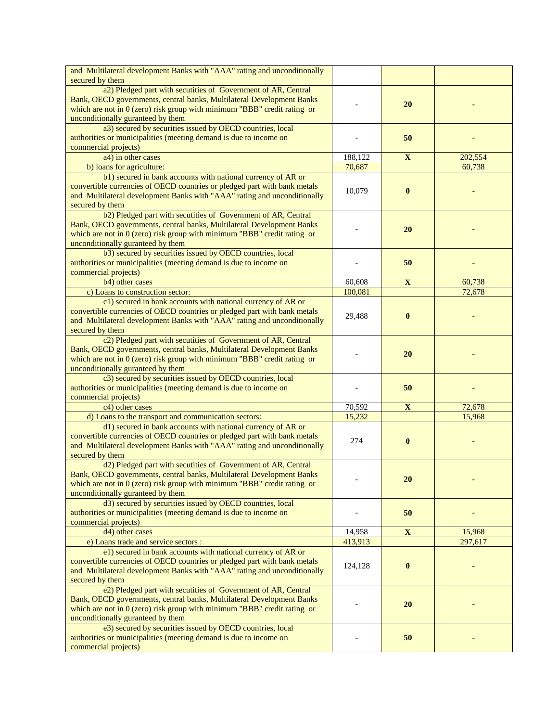| and Multilateral development Banks with "AAA" rating and unconditionally                                                               |                   |             |                   |
|----------------------------------------------------------------------------------------------------------------------------------------|-------------------|-------------|-------------------|
| secured by them                                                                                                                        |                   |             |                   |
| a2) Pledged part with secutities of Government of AR, Central<br>Bank, OECD governments, central banks, Multilateral Development Banks |                   |             |                   |
| which are not in $0$ (zero) risk group with minimum "BBB" credit rating or                                                             |                   | 20          |                   |
| unconditionally guranteed by them                                                                                                      |                   |             |                   |
| a3) secured by securities issued by OECD countries, local                                                                              |                   |             |                   |
| authorities or municipalities (meeting demand is due to income on                                                                      |                   | 50          |                   |
| commercial projects)                                                                                                                   |                   |             |                   |
| a4) in other cases                                                                                                                     | 188,122           | $\mathbf X$ | 202,554           |
| b) loans for agriculture:                                                                                                              | 70,687            |             | 60,738            |
| b1) secured in bank accounts with national currency of AR or                                                                           |                   |             |                   |
| convertible currencies of OECD countries or pledged part with bank metals                                                              | 10,079            | $\bf{0}$    |                   |
| and Multilateral development Banks with "AAA" rating and unconditionally                                                               |                   |             |                   |
| secured by them                                                                                                                        |                   |             |                   |
| b2) Pledged part with secutities of Government of AR, Central                                                                          |                   |             |                   |
| Bank, OECD governments, central banks, Multilateral Development Banks                                                                  |                   | 20          |                   |
| which are not in $0$ (zero) risk group with minimum "BBB" credit rating or                                                             |                   |             |                   |
| unconditionally guranteed by them<br>b3) secured by securities issued by OECD countries, local                                         |                   |             |                   |
| authorities or municipalities (meeting demand is due to income on                                                                      |                   | 50          |                   |
| commercial projects)                                                                                                                   |                   |             |                   |
| b <sub>4</sub> ) other cases                                                                                                           | 60,608            | $\mathbf X$ | 60,738            |
| c) Loans to construction sector:                                                                                                       | 100,081           |             | 72,678            |
| c1) secured in bank accounts with national currency of AR or                                                                           |                   |             |                   |
| convertible currencies of OECD countries or pledged part with bank metals                                                              |                   |             |                   |
| and Multilateral development Banks with "AAA" rating and unconditionally                                                               | 29,488            | $\bf{0}$    |                   |
| secured by them                                                                                                                        |                   |             |                   |
| c2) Pledged part with secutities of Government of AR, Central                                                                          |                   |             |                   |
| Bank, OECD governments, central banks, Multilateral Development Banks                                                                  |                   | 20          |                   |
| which are not in $0$ (zero) risk group with minimum "BBB" credit rating or                                                             |                   |             |                   |
| unconditionally guranteed by them                                                                                                      |                   |             |                   |
| c3) secured by securities issued by OECD countries, local                                                                              |                   |             |                   |
| authorities or municipalities (meeting demand is due to income on<br>commercial projects)                                              |                   | 50          |                   |
| c4) other cases                                                                                                                        | 70,592            | $\mathbf X$ | 72,678            |
| d) Loans to the transport and communication sectors:                                                                                   | 15,232            |             | 15,968            |
| d1) secured in bank accounts with national currency of AR or                                                                           |                   |             |                   |
| convertible currencies of OECD countries or pledged part with bank metals                                                              |                   |             |                   |
| and Multilateral development Banks with "AAA" rating and unconditionally                                                               | 274               | $\bf{0}$    |                   |
| secured by them                                                                                                                        |                   |             |                   |
| d2) Pledged part with secutities of Government of AR, Central                                                                          |                   |             |                   |
| Bank, OECD governments, central banks, Multilateral Development Banks                                                                  |                   | 20          |                   |
| which are not in $0$ (zero) risk group with minimum "BBB" credit rating or                                                             |                   |             |                   |
| unconditionally guranteed by them                                                                                                      |                   |             |                   |
| d3) secured by securities issued by OECD countries, local                                                                              |                   |             |                   |
| authorities or municipalities (meeting demand is due to income on                                                                      |                   | 50          |                   |
| commercial projects)<br>d4) other cases                                                                                                |                   |             |                   |
| e) Loans trade and service sectors :                                                                                                   | 14,958<br>413,913 | $\mathbf X$ | 15,968<br>297,617 |
| e1) secured in bank accounts with national currency of AR or                                                                           |                   |             |                   |
| convertible currencies of OECD countries or pledged part with bank metals                                                              |                   |             |                   |
| and Multilateral development Banks with "AAA" rating and unconditionally                                                               | 124,128           | $\bf{0}$    |                   |
| secured by them                                                                                                                        |                   |             |                   |
| e2) Pledged part with secutities of Government of AR, Central                                                                          |                   |             |                   |
| Bank, OECD governments, central banks, Multilateral Development Banks                                                                  |                   |             |                   |
| which are not in $0$ (zero) risk group with minimum "BBB" credit rating or                                                             |                   | <b>20</b>   |                   |
| unconditionally guranteed by them                                                                                                      |                   |             |                   |
| e3) secured by securities issued by OECD countries, local                                                                              |                   |             |                   |
| authorities or municipalities (meeting demand is due to income on                                                                      |                   | 50          |                   |
| commercial projects)                                                                                                                   |                   |             |                   |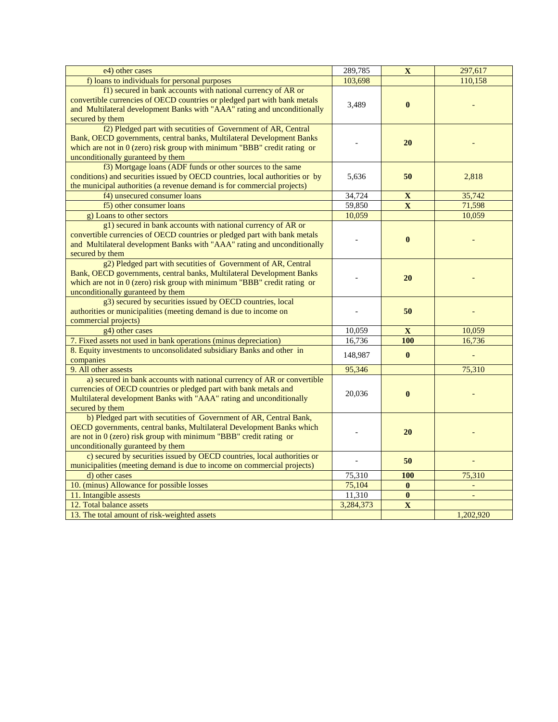| e4) other cases                                                                                                                                     | 289,785   | $\mathbf X$             | 297,617   |
|-----------------------------------------------------------------------------------------------------------------------------------------------------|-----------|-------------------------|-----------|
| f) loans to individuals for personal purposes                                                                                                       | 103,698   |                         | 110,158   |
| f1) secured in bank accounts with national currency of AR or                                                                                        |           |                         |           |
| convertible currencies of OECD countries or pledged part with bank metals                                                                           | 3,489     | $\bf{0}$                |           |
| and Multilateral development Banks with "AAA" rating and unconditionally                                                                            |           |                         |           |
| secured by them                                                                                                                                     |           |                         |           |
| f <sub>2</sub> ) Pledged part with secutities of Government of AR, Central<br>Bank, OECD governments, central banks, Multilateral Development Banks |           |                         |           |
| which are not in $0$ (zero) risk group with minimum "BBB" credit rating or                                                                          |           | 20                      |           |
| unconditionally guranteed by them                                                                                                                   |           |                         |           |
| f3) Mortgage loans (ADF funds or other sources to the same                                                                                          |           |                         |           |
| conditions) and securities issued by OECD countries, local authorities or by                                                                        | 5,636     | 50                      | 2,818     |
| the municipal authorities (a revenue demand is for commercial projects)                                                                             |           |                         |           |
| f4) unsecured consumer loans                                                                                                                        | 34,724    | $\mathbf X$             | 35,742    |
| f5) other consumer loans                                                                                                                            | 59,850    | $\overline{\mathbf{X}}$ | 71,598    |
| g) Loans to other sectors                                                                                                                           | 10,059    |                         | 10,059    |
| g1) secured in bank accounts with national currency of AR or                                                                                        |           |                         |           |
| convertible currencies of OECD countries or pledged part with bank metals                                                                           |           | $\bf{0}$                |           |
| and Multilateral development Banks with "AAA" rating and unconditionally                                                                            |           |                         |           |
| secured by them<br>g2) Pledged part with secutities of Government of AR, Central                                                                    |           |                         |           |
| Bank, OECD governments, central banks, Multilateral Development Banks                                                                               |           |                         |           |
| which are not in $0$ (zero) risk group with minimum "BBB" credit rating or                                                                          |           | 20                      |           |
| unconditionally guranteed by them                                                                                                                   |           |                         |           |
| g3) secured by securities issued by OECD countries, local                                                                                           |           |                         |           |
| authorities or municipalities (meeting demand is due to income on                                                                                   |           | 50                      |           |
| commercial projects)                                                                                                                                |           |                         |           |
| g4) other cases                                                                                                                                     | 10,059    | $\mathbf{X}$            | 10,059    |
| 7. Fixed assets not used in bank operations (minus depreciation)                                                                                    | 16,736    | 100                     | 16,736    |
| 8. Equity investments to unconsolidated subsidiary Banks and other in                                                                               | 148,987   | $\bf{0}$                |           |
| companies<br>9. All other assests                                                                                                                   | 95,346    |                         | 75,310    |
| a) secured in bank accounts with national currency of AR or convertible                                                                             |           |                         |           |
| currencies of OECD countries or pledged part with bank metals and                                                                                   |           |                         |           |
| Multilateral development Banks with "AAA" rating and unconditionally                                                                                | 20,036    | $\bf{0}$                |           |
| secured by them                                                                                                                                     |           |                         |           |
| b) Pledged part with secutities of Government of AR, Central Bank,                                                                                  |           |                         |           |
| OECD governments, central banks, Multilateral Development Banks which                                                                               |           | 20                      |           |
| are not in $0$ (zero) risk group with minimum "BBB" credit rating or                                                                                |           |                         |           |
| unconditionally guranteed by them                                                                                                                   |           |                         |           |
| c) secured by securities issued by OECD countries, local authorities or                                                                             |           | 50                      |           |
| municipalities (meeting demand is due to income on commercial projects)<br>d) other cases                                                           | 75,310    | 100                     | 75,310    |
| 10. (minus) Allowance for possible losses                                                                                                           | 75,104    | $\bf{0}$                |           |
| 11. Intangible assests                                                                                                                              | 11,310    | $\bf{0}$                |           |
| 12. Total balance assets                                                                                                                            | 3,284,373 | $\overline{\mathbf{X}}$ |           |
| 13. The total amount of risk-weighted assets                                                                                                        |           |                         | 1,202,920 |